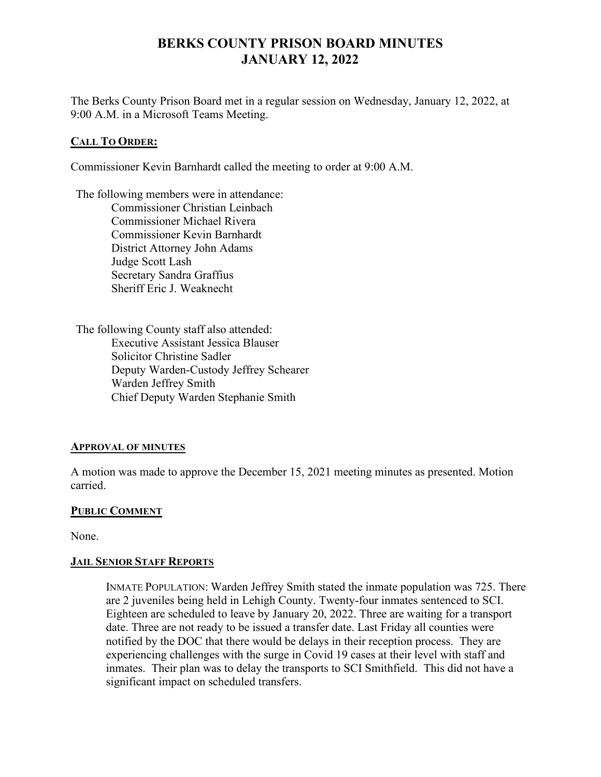# **BERKS COUNTY PRISON BOARD MINUTES JANUARY 12, 2022**

The Berks County Prison Board met in a regular session on Wednesday, January 12, 2022, at 9:00 A.M. in a Microsoft Teams Meeting.

## **CALL TO ORDER:**

Commissioner Kevin Barnhardt called the meeting to order at 9:00 A.M.

The following members were in attendance: Commissioner Christian Leinbach Commissioner Michael Rivera Commissioner Kevin Barnhardt District Attorney John Adams Judge Scott Lash Secretary Sandra Graffius Sheriff Eric J. Weaknecht

The following County staff also attended: Executive Assistant Jessica Blauser Solicitor Christine Sadler Deputy Warden-Custody Jeffrey Schearer Warden Jeffrey Smith Chief Deputy Warden Stephanie Smith

## **APPROVAL OF MINUTES**

A motion was made to approve the December 15, 2021 meeting minutes as presented. Motion carried.

## **PUBLIC COMMENT**

None.

# **JAIL SENIOR STAFF REPORTS**

INMATE POPULATION: Warden Jeffrey Smith stated the inmate population was 725. There are 2 juveniles being held in Lehigh County. Twenty-four inmates sentenced to SCI. Eighteen are scheduled to leave by January 20, 2022. Three are waiting for a transport date. Three are not ready to be issued a transfer date. Last Friday all counties were notified by the DOC that there would be delays in their reception process. They are experiencing challenges with the surge in Covid 19 cases at their level with staff and inmates. Their plan was to delay the transports to SCI Smithfield. This did not have a significant impact on scheduled transfers.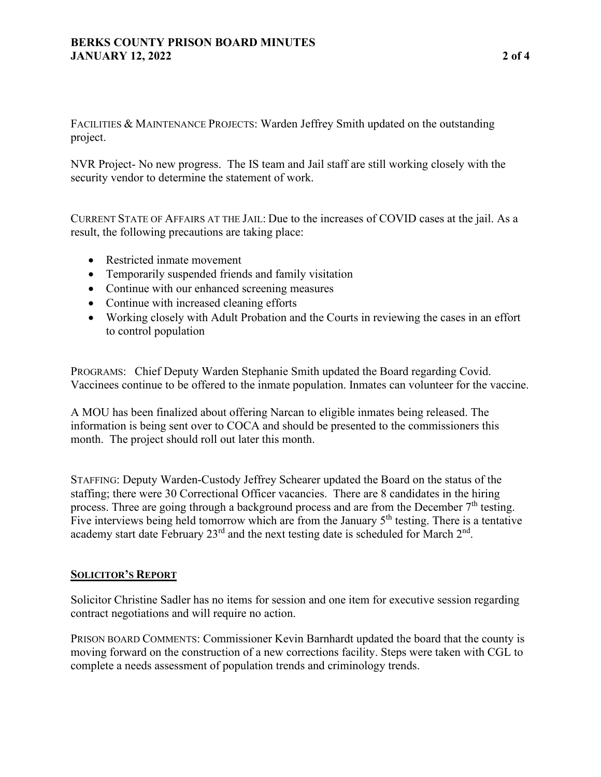# **BERKS COUNTY PRISON BOARD MINUTES JANUARY 12, 2022 2 of 4**

FACILITIES & MAINTENANCE PROJECTS: Warden Jeffrey Smith updated on the outstanding project.

NVR Project- No new progress. The IS team and Jail staff are still working closely with the security vendor to determine the statement of work.

CURRENT STATE OF AFFAIRS AT THE JAIL: Due to the increases of COVID cases at the jail. As a result, the following precautions are taking place:

- Restricted inmate movement
- Temporarily suspended friends and family visitation
- Continue with our enhanced screening measures
- Continue with increased cleaning efforts
- Working closely with Adult Probation and the Courts in reviewing the cases in an effort to control population

PROGRAMS: Chief Deputy Warden Stephanie Smith updated the Board regarding Covid. Vaccinees continue to be offered to the inmate population. Inmates can volunteer for the vaccine.

A MOU has been finalized about offering Narcan to eligible inmates being released. The information is being sent over to COCA and should be presented to the commissioners this month. The project should roll out later this month.

STAFFING: Deputy Warden-Custody Jeffrey Schearer updated the Board on the status of the staffing; there were 30 Correctional Officer vacancies. There are 8 candidates in the hiring process. Three are going through a background process and are from the December  $7<sup>th</sup>$  testing. Five interviews being held tomorrow which are from the January 5<sup>th</sup> testing. There is a tentative academy start date February  $23^{\text{rd}}$  and the next testing date is scheduled for March  $2^{\text{nd}}$ .

# **SOLICITOR'S REPORT**

Solicitor Christine Sadler has no items for session and one item for executive session regarding contract negotiations and will require no action.

PRISON BOARD COMMENTS: Commissioner Kevin Barnhardt updated the board that the county is moving forward on the construction of a new corrections facility. Steps were taken with CGL to complete a needs assessment of population trends and criminology trends.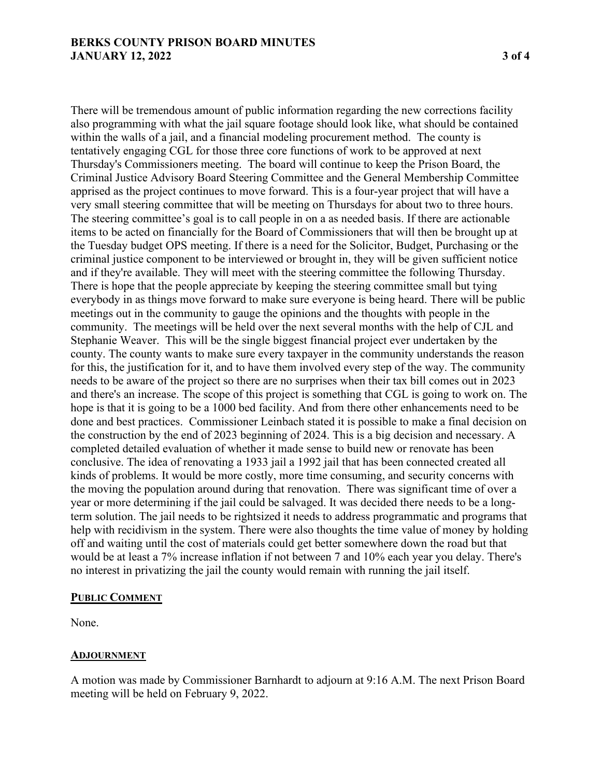#### **BERKS COUNTY PRISON BOARD MINUTES JANUARY 12, 2022 3 of 4**

There will be tremendous amount of public information regarding the new corrections facility also programming with what the jail square footage should look like, what should be contained within the walls of a jail, and a financial modeling procurement method. The county is tentatively engaging CGL for those three core functions of work to be approved at next Thursday's Commissioners meeting. The board will continue to keep the Prison Board, the Criminal Justice Advisory Board Steering Committee and the General Membership Committee apprised as the project continues to move forward. This is a four-year project that will have a very small steering committee that will be meeting on Thursdays for about two to three hours. The steering committee's goal is to call people in on a as needed basis. If there are actionable items to be acted on financially for the Board of Commissioners that will then be brought up at the Tuesday budget OPS meeting. If there is a need for the Solicitor, Budget, Purchasing or the criminal justice component to be interviewed or brought in, they will be given sufficient notice and if they're available. They will meet with the steering committee the following Thursday. There is hope that the people appreciate by keeping the steering committee small but tying everybody in as things move forward to make sure everyone is being heard. There will be public meetings out in the community to gauge the opinions and the thoughts with people in the community. The meetings will be held over the next several months with the help of CJL and Stephanie Weaver. This will be the single biggest financial project ever undertaken by the county. The county wants to make sure every taxpayer in the community understands the reason for this, the justification for it, and to have them involved every step of the way. The community needs to be aware of the project so there are no surprises when their tax bill comes out in 2023 and there's an increase. The scope of this project is something that CGL is going to work on. The hope is that it is going to be a 1000 bed facility. And from there other enhancements need to be done and best practices. Commissioner Leinbach stated it is possible to make a final decision on the construction by the end of 2023 beginning of 2024. This is a big decision and necessary. A completed detailed evaluation of whether it made sense to build new or renovate has been conclusive. The idea of renovating a 1933 jail a 1992 jail that has been connected created all kinds of problems. It would be more costly, more time consuming, and security concerns with the moving the population around during that renovation. There was significant time of over a year or more determining if the jail could be salvaged. It was decided there needs to be a longterm solution. The jail needs to be rightsized it needs to address programmatic and programs that help with recidivism in the system. There were also thoughts the time value of money by holding off and waiting until the cost of materials could get better somewhere down the road but that would be at least a 7% increase inflation if not between 7 and 10% each year you delay. There's no interest in privatizing the jail the county would remain with running the jail itself.

#### **PUBLIC COMMENT**

None.

#### **ADJOURNMENT**

A motion was made by Commissioner Barnhardt to adjourn at 9:16 A.M. The next Prison Board meeting will be held on February 9, 2022.